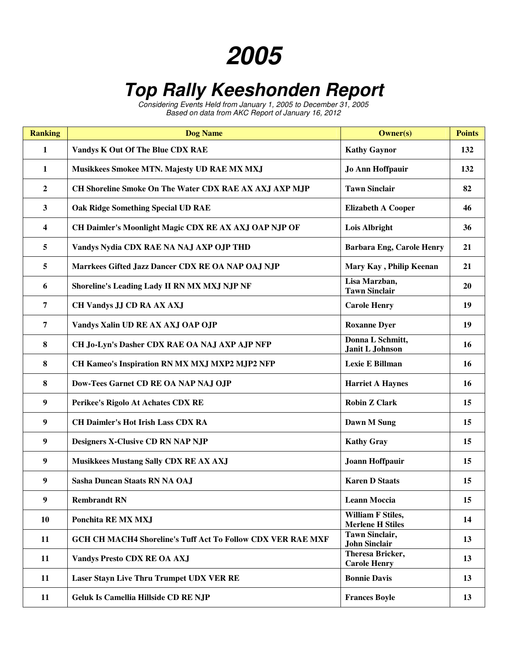## **2005**

## **Top Rally Keeshonden Report**

Considering Events Held from January 1, 2005 to December 31, 2005 Based on data from AKC Report of January 16, 2012

| <b>Ranking</b>   | <b>Dog Name</b>                                                    | <b>Owner(s)</b>                                     | <b>Points</b> |
|------------------|--------------------------------------------------------------------|-----------------------------------------------------|---------------|
| $\mathbf{1}$     | Vandys K Out Of The Blue CDX RAE                                   | <b>Kathy Gaynor</b>                                 | 132           |
| $\mathbf{1}$     | Musikkees Smokee MTN. Majesty UD RAE MX MXJ                        | <b>Jo Ann Hoffpauir</b>                             | 132           |
| $\overline{2}$   | CH Shoreline Smoke On The Water CDX RAE AX AXJ AXP MJP             | <b>Tawn Sinclair</b>                                | 82            |
| $\mathbf{3}$     | <b>Oak Ridge Something Special UD RAE</b>                          | <b>Elizabeth A Cooper</b>                           | 46            |
| 4                | CH Daimler's Moonlight Magic CDX RE AX AXJ OAP NJP OF              | <b>Lois Albright</b>                                | 36            |
| 5                | Vandys Nydia CDX RAE NA NAJ AXP OJP THD                            | <b>Barbara Eng, Carole Henry</b>                    | 21            |
| 5                | Marrkees Gifted Jazz Dancer CDX RE OA NAP OAJ NJP                  | Mary Kay, Philip Keenan                             | 21            |
| 6                | Shoreline's Leading Lady II RN MX MXJ NJP NF                       | Lisa Marzban,<br><b>Tawn Sinclair</b>               | 20            |
| $\overline{7}$   | CH Vandys JJ CD RA AX AXJ                                          | <b>Carole Henry</b>                                 | 19            |
| $\overline{7}$   | Vandys Xalin UD RE AX AXJ OAP OJP                                  | <b>Roxanne Dyer</b>                                 | 19            |
| 8                | CH Jo-Lyn's Dasher CDX RAE OA NAJ AXP AJP NFP                      | Donna L Schmitt,<br>Janit L Johnson                 | 16            |
| 8                | CH Kameo's Inspiration RN MX MXJ MXP2 MJP2 NFP                     | Lexie E Billman                                     | 16            |
| 8                | Dow-Tees Garnet CD RE OA NAP NAJ OJP                               | <b>Harriet A Haynes</b>                             | 16            |
| $\boldsymbol{9}$ | Perikee's Rigolo At Achates CDX RE                                 | <b>Robin Z Clark</b>                                | 15            |
| $\boldsymbol{9}$ | <b>CH Daimler's Hot Irish Lass CDX RA</b>                          | Dawn M Sung                                         | 15            |
| $\boldsymbol{9}$ | <b>Designers X-Clusive CD RN NAP NJP</b>                           | <b>Kathy Gray</b>                                   | 15            |
| 9                | <b>Musikkees Mustang Sally CDX RE AX AXJ</b>                       | Joann Hoffpauir                                     | 15            |
| 9                | Sasha Duncan Staats RN NA OAJ                                      | <b>Karen D Staats</b>                               | 15            |
| $\boldsymbol{9}$ | <b>Rembrandt RN</b>                                                | <b>Leann Moccia</b>                                 | 15            |
| 10               | Ponchita RE MX MXJ                                                 | <b>William F Stiles,</b><br><b>Merlene H Stiles</b> | 14            |
| 11               | <b>GCH CH MACH4 Shoreline's Tuff Act To Follow CDX VER RAE MXF</b> | <b>Tawn Sinclair,</b><br><b>John Sinclair</b>       | 13            |
| 11               | <b>Vandys Presto CDX RE OA AXJ</b>                                 | Theresa Bricker,<br><b>Carole Henry</b>             | 13            |
| 11               | <b>Laser Stayn Live Thru Trumpet UDX VER RE</b>                    | <b>Bonnie Davis</b>                                 | 13            |
| 11               | Geluk Is Camellia Hillside CD RE NJP                               | <b>Frances Boyle</b>                                | 13            |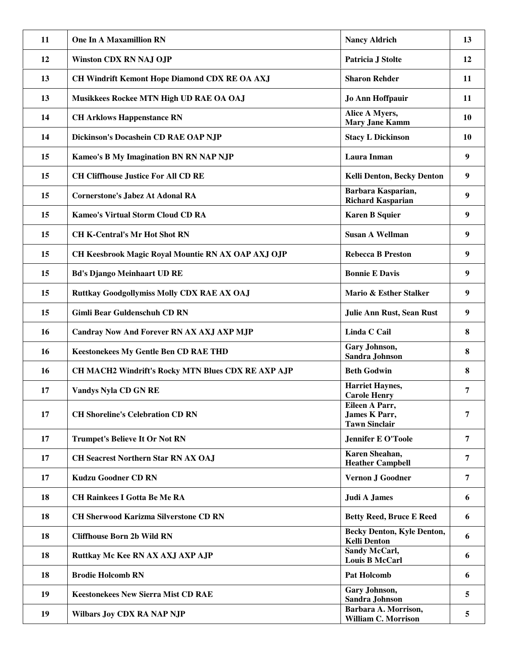| 11 | <b>One In A Maxamillion RN</b>                     | <b>Nancy Aldrich</b>                                     | 13        |
|----|----------------------------------------------------|----------------------------------------------------------|-----------|
| 12 | <b>Winston CDX RN NAJ OJP</b>                      | Patricia J Stolte                                        | 12        |
| 13 | CH Windrift Kemont Hope Diamond CDX RE OA AXJ      | <b>Sharon Rehder</b>                                     | 11        |
| 13 | Musikkees Rockee MTN High UD RAE OA OAJ            | Jo Ann Hoffpauir                                         | 11        |
| 14 | <b>CH Arklows Happenstance RN</b>                  | Alice A Myers,<br><b>Mary Jane Kamm</b>                  | <b>10</b> |
| 14 | Dickinson's Docashein CD RAE OAP NJP               | <b>Stacy L Dickinson</b>                                 | <b>10</b> |
| 15 | <b>Kameo's B My Imagination BN RN NAP NJP</b>      | Laura Inman                                              | 9         |
| 15 | <b>CH Cliffhouse Justice For All CD RE</b>         | Kelli Denton, Becky Denton                               | 9         |
| 15 | <b>Cornerstone's Jabez At Adonal RA</b>            | Barbara Kasparian,<br><b>Richard Kasparian</b>           | 9         |
| 15 | <b>Kameo's Virtual Storm Cloud CD RA</b>           | <b>Karen B Squier</b>                                    | 9         |
| 15 | <b>CH K-Central's Mr Hot Shot RN</b>               | <b>Susan A Wellman</b>                                   | 9         |
| 15 | CH Keesbrook Magic Royal Mountie RN AX OAP AXJ OJP | <b>Rebecca B Preston</b>                                 | 9         |
| 15 | <b>Bd's Django Meinhaart UD RE</b>                 | <b>Bonnie E Davis</b>                                    | 9         |
| 15 | <b>Ruttkay Goodgollymiss Molly CDX RAE AX OAJ</b>  | Mario & Esther Stalker                                   | 9         |
| 15 | <b>Gimli Bear Guldenschuh CD RN</b>                | Julie Ann Rust, Sean Rust                                | 9         |
| 16 | <b>Candray Now And Forever RN AX AXJ AXP MJP</b>   | Linda C Cail                                             | 8         |
| 16 | <b>Keestonekees My Gentle Ben CD RAE THD</b>       | Gary Johnson,<br>Sandra Johnson                          | 8         |
| 16 | CH MACH2 Windrift's Rocky MTN Blues CDX RE AXP AJP | <b>Beth Godwin</b>                                       | 8         |
| 17 | <b>Vandys Nyla CD GN RE</b>                        | <b>Harriet Haynes,</b><br><b>Carole Henry</b>            | 7         |
| 17 | <b>CH Shoreline's Celebration CD RN</b>            | Eileen A Parr,<br>James K Parr,<br><b>Tawn Sinclair</b>  | 7         |
| 17 | <b>Trumpet's Believe It Or Not RN</b>              | <b>Jennifer E O'Toole</b>                                | 7         |
| 17 | <b>CH Seacrest Northern Star RN AX OAJ</b>         | Karen Sheahan,<br><b>Heather Campbell</b>                | 7         |
| 17 | <b>Kudzu Goodner CD RN</b>                         | Vernon J Goodner                                         | 7         |
| 18 | <b>CH Rainkees I Gotta Be Me RA</b>                | <b>Judi A James</b>                                      | 6         |
| 18 | <b>CH Sherwood Karizma Silverstone CD RN</b>       | <b>Betty Reed, Bruce E Reed</b>                          | 6         |
| 18 | <b>Cliffhouse Born 2b Wild RN</b>                  | <b>Becky Denton, Kyle Denton,</b><br><b>Kelli Denton</b> | 6         |
| 18 | Ruttkay Mc Kee RN AX AXJ AXP AJP                   | Sandy McCarl,<br><b>Louis B McCarl</b>                   | 6         |
| 18 | <b>Brodie Holcomb RN</b>                           | Pat Holcomb                                              | 6         |
| 19 | <b>Keestonekees New Sierra Mist CD RAE</b>         | Gary Johnson,<br>Sandra Johnson                          | 5         |
| 19 | <b>Wilbars Joy CDX RA NAP NJP</b>                  | Barbara A. Morrison,<br><b>William C. Morrison</b>       | 5         |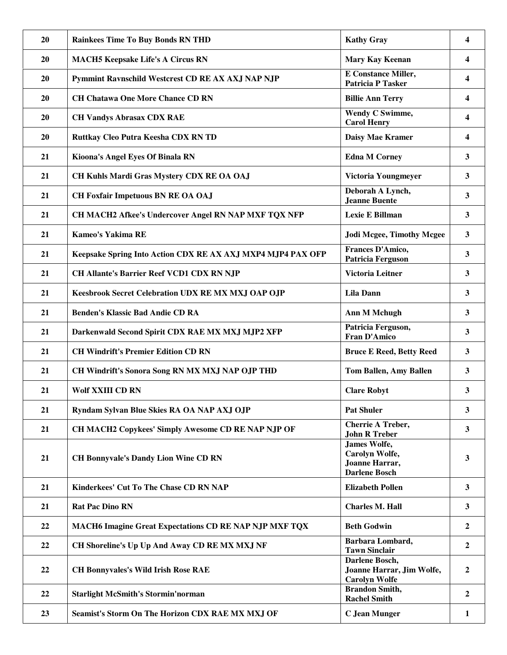| 20        | <b>Rainkees Time To Buy Bonds RN THD</b>                      | <b>Kathy Gray</b>                                                        | $\overline{\mathbf{4}}$ |
|-----------|---------------------------------------------------------------|--------------------------------------------------------------------------|-------------------------|
| <b>20</b> | <b>MACH5 Keepsake Life's A Circus RN</b>                      | Mary Kay Keenan                                                          | 4                       |
| 20        | Pymmint Ravnschild Westcrest CD RE AX AXJ NAP NJP             | <b>E</b> Constance Miller,<br><b>Patricia P Tasker</b>                   | 4                       |
| 20        | <b>CH Chatawa One More Chance CD RN</b>                       | <b>Billie Ann Terry</b>                                                  | 4                       |
| <b>20</b> | <b>CH Vandys Abrasax CDX RAE</b>                              | Wendy C Swimme,<br><b>Carol Henry</b>                                    | $\overline{\mathbf{4}}$ |
| 20        | Ruttkay Cleo Putra Keesha CDX RN TD                           | Daisy Mae Kramer                                                         | $\overline{\mathbf{4}}$ |
| 21        | Kioona's Angel Eyes Of Binala RN                              | <b>Edna M Corney</b>                                                     | 3                       |
| 21        | CH Kuhls Mardi Gras Mystery CDX RE OA OAJ                     | Victoria Youngmeyer                                                      | 3                       |
| 21        | <b>CH Foxfair Impetuous BN RE OA OAJ</b>                      | Deborah A Lynch,<br>Jeanne Buente                                        | 3                       |
| 21        | CH MACH2 Afkee's Undercover Angel RN NAP MXF TQX NFP          | Lexie E Billman                                                          | $\mathbf{3}$            |
| 21        | <b>Kameo's Yakima RE</b>                                      | <b>Jodi Mcgee, Timothy Mcgee</b>                                         | $\mathbf{3}$            |
| 21        | Keepsake Spring Into Action CDX RE AX AXJ MXP4 MJP4 PAX OFP   | Frances D'Amico,<br><b>Patricia Ferguson</b>                             | $\mathbf{3}$            |
| 21        | <b>CH Allante's Barrier Reef VCD1 CDX RN NJP</b>              | <b>Victoria Leitner</b>                                                  | 3                       |
| 21        | Keesbrook Secret Celebration UDX RE MX MXJ OAP OJP            | <b>Lila Dann</b>                                                         | 3                       |
| 21        | <b>Benden's Klassic Bad Andie CD RA</b>                       | <b>Ann M Mchugh</b>                                                      | $\mathbf{3}$            |
| 21        | Darkenwald Second Spirit CDX RAE MX MXJ MJP2 XFP              | Patricia Ferguson,<br>Fran D'Amico                                       | 3                       |
| 21        | <b>CH Windrift's Premier Edition CD RN</b>                    | <b>Bruce E Reed, Betty Reed</b>                                          | 3                       |
| 21        | <b>CH Windrift's Sonora Song RN MX MXJ NAP OJP THD</b>        | <b>Tom Ballen, Amy Ballen</b>                                            | 3                       |
| 21        | <b>Wolf XXIII CD RN</b>                                       | <b>Clare Robyt</b>                                                       | 3                       |
| 21        | Ryndam Sylvan Blue Skies RA OA NAP AXJ OJP                    | <b>Pat Shuler</b>                                                        | 3                       |
| 21        | CH MACH2 Copykees' Simply Awesome CD RE NAP NJP OF            | <b>Cherrie A Treber,</b><br><b>John R Treber</b>                         | $\mathbf{3}$            |
| 21        | <b>CH Bonnyvale's Dandy Lion Wine CD RN</b>                   | James Wolfe,<br>Carolyn Wolfe,<br>Joanne Harrar,<br><b>Darlene Bosch</b> | $\mathbf{3}$            |
| 21        | Kinderkees' Cut To The Chase CD RN NAP                        | <b>Elizabeth Pollen</b>                                                  | $\mathbf{3}$            |
| 21        | <b>Rat Pac Dino RN</b>                                        | <b>Charles M. Hall</b>                                                   | $\mathbf{3}$            |
| 22        | <b>MACH6 Imagine Great Expectations CD RE NAP NJP MXF TQX</b> | <b>Beth Godwin</b>                                                       | $\overline{2}$          |
| 22        | CH Shoreline's Up Up And Away CD RE MX MXJ NF                 | Barbara Lombard,<br><b>Tawn Sinclair</b>                                 | $\overline{2}$          |
| 22        | <b>CH Bonnyvales's Wild Irish Rose RAE</b>                    | Darlene Bosch,<br>Joanne Harrar, Jim Wolfe,<br><b>Carolyn Wolfe</b>      | $\overline{2}$          |
| 22        | <b>Starlight McSmith's Stormin'norman</b>                     | <b>Brandon Smith,</b><br><b>Rachel Smith</b>                             | $\mathbf{2}$            |
| 23        | Seamist's Storm On The Horizon CDX RAE MX MXJ OF              | <b>C</b> Jean Munger                                                     | 1                       |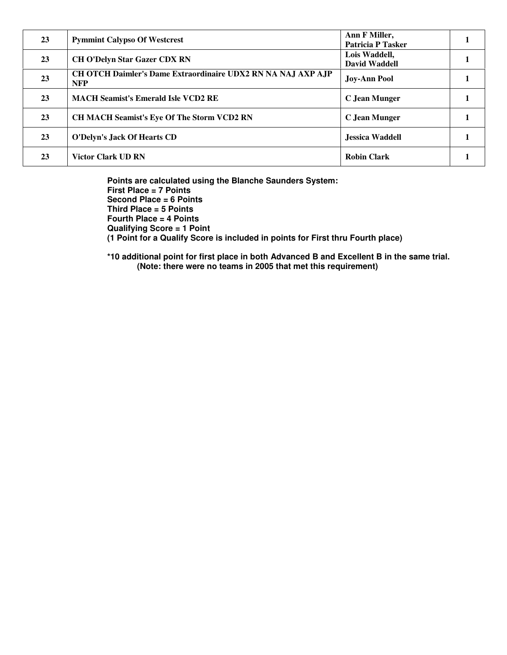| 23 | <b>Pymmint Calypso Of Westcrest</b>                                        | Ann F Miller,<br><b>Patricia P Tasker</b> |  |
|----|----------------------------------------------------------------------------|-------------------------------------------|--|
| 23 | <b>CH O'Delyn Star Gazer CDX RN</b>                                        | Lois Waddell,<br><b>David Waddell</b>     |  |
| 23 | CH OTCH Daimler's Dame Extraordinaire UDX2 RN NA NAJ AXP AJP<br><b>NFP</b> | <b>Joy-Ann Pool</b>                       |  |
| 23 | <b>MACH Seamist's Emerald Isle VCD2 RE</b>                                 | C Jean Munger                             |  |
| 23 | <b>CH MACH Seamist's Eye Of The Storm VCD2 RN</b>                          | C Jean Munger                             |  |
| 23 | O'Delyn's Jack Of Hearts CD                                                | Jessica Waddell                           |  |
| 23 | <b>Victor Clark UD RN</b>                                                  | <b>Robin Clark</b>                        |  |

**Points are calculated using the Blanche Saunders System: First Place = 7 Points Second Place = 6 Points Third Place = 5 Points Fourth Place = 4 Points Qualifying Score = 1 Point (1 Point for a Qualify Score is included in points for First thru Fourth place)** 

**\*10 additional point for first place in both Advanced B and Excellent B in the same trial. (Note: there were no teams in 2005 that met this requirement)**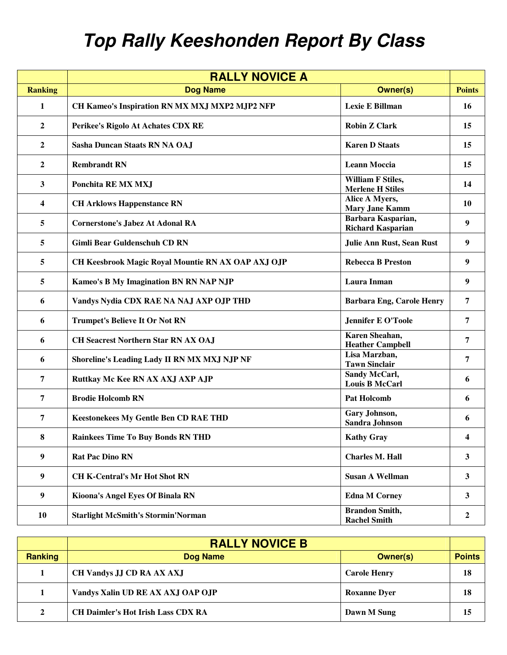## **Top Rally Keeshonden Report By Class**

|                  | <b>RALLY NOVICE A</b>                              |                                                     |                |
|------------------|----------------------------------------------------|-----------------------------------------------------|----------------|
| <b>Ranking</b>   | <b>Dog Name</b>                                    | <b>Owner(s)</b>                                     | <b>Points</b>  |
| 1                | CH Kameo's Inspiration RN MX MXJ MXP2 MJP2 NFP     | Lexie E Billman                                     | <b>16</b>      |
| $\overline{2}$   | Perikee's Rigolo At Achates CDX RE                 | <b>Robin Z Clark</b>                                | 15             |
| $\overline{2}$   | Sasha Duncan Staats RN NA OAJ                      | <b>Karen D Staats</b>                               | 15             |
| $\overline{2}$   | <b>Rembrandt RN</b>                                | <b>Leann Moccia</b>                                 | 15             |
| $\mathbf{3}$     | Ponchita RE MX MXJ                                 | <b>William F Stiles,</b><br><b>Merlene H Stiles</b> | 14             |
| 4                | <b>CH Arklows Happenstance RN</b>                  | Alice A Myers,<br><b>Mary Jane Kamm</b>             | <b>10</b>      |
| 5                | <b>Cornerstone's Jabez At Adonal RA</b>            | Barbara Kasparian,<br><b>Richard Kasparian</b>      | 9              |
| 5                | <b>Gimli Bear Guldenschuh CD RN</b>                | Julie Ann Rust, Sean Rust                           | 9              |
| 5                | CH Keesbrook Magic Royal Mountie RN AX OAP AXJ OJP | <b>Rebecca B Preston</b>                            | 9              |
| 5                | Kameo's B My Imagination BN RN NAP NJP             | Laura Inman                                         | 9              |
| 6                | Vandys Nydia CDX RAE NA NAJ AXP OJP THD            | <b>Barbara Eng, Carole Henry</b>                    | 7              |
| 6                | <b>Trumpet's Believe It Or Not RN</b>              | <b>Jennifer E O'Toole</b>                           | $\overline{7}$ |
| 6                | <b>CH Seacrest Northern Star RN AX OAJ</b>         | Karen Sheahan,<br><b>Heather Campbell</b>           | 7              |
| 6                | Shoreline's Leading Lady II RN MX MXJ NJP NF       | Lisa Marzban,<br><b>Tawn Sinclair</b>               | 7              |
| $\overline{7}$   | Ruttkay Mc Kee RN AX AXJ AXP AJP                   | Sandy McCarl,<br><b>Louis B McCarl</b>              | 6              |
| 7                | <b>Brodie Holcomb RN</b>                           | <b>Pat Holcomb</b>                                  | 6              |
| 7                | <b>Keestonekees My Gentle Ben CD RAE THD</b>       | Gary Johnson,<br><b>Sandra Johnson</b>              | 6              |
| 8                | <b>Rainkees Time To Buy Bonds RN THD</b>           | <b>Kathy Gray</b>                                   | 4              |
| $\boldsymbol{9}$ | <b>Rat Pac Dino RN</b>                             | <b>Charles M. Hall</b>                              | 3 <sup>1</sup> |
| $\boldsymbol{9}$ | <b>CH K-Central's Mr Hot Shot RN</b>               | <b>Susan A Wellman</b>                              | 3 <sup>1</sup> |
| $\boldsymbol{9}$ | Kioona's Angel Eyes Of Binala RN                   | <b>Edna M Corney</b>                                | 3 <sup>1</sup> |
| 10               | <b>Starlight McSmith's Stormin'Norman</b>          | <b>Brandon Smith,</b><br><b>Rachel Smith</b>        | $\overline{2}$ |

|                | <b>RALLY NOVICE B</b>                     |                     |               |
|----------------|-------------------------------------------|---------------------|---------------|
| <b>Ranking</b> | Dog Name                                  | <b>Owner(s)</b>     | <b>Points</b> |
|                | CH Vandys JJ CD RA AX AXJ                 | <b>Carole Henry</b> | 18            |
|                | Vandys Xalin UD RE AX AXJ OAP OJP         | <b>Roxanne Dyer</b> | 18            |
| $\mathbf{2}$   | <b>CH Daimler's Hot Irish Lass CDX RA</b> | Dawn M Sung         | 15            |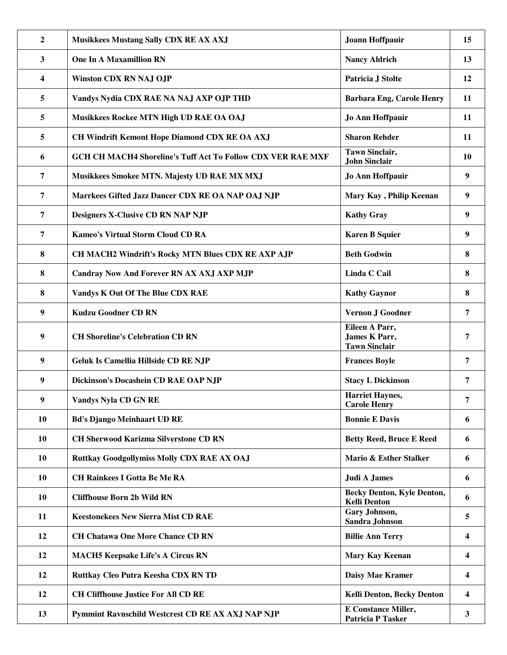| $\overline{2}$          | <b>Musikkees Mustang Sally CDX RE AX AXJ</b>                | Joann Hoffpauir                                                | 15                      |
|-------------------------|-------------------------------------------------------------|----------------------------------------------------------------|-------------------------|
| $\mathbf{3}$            | <b>One In A Maxamillion RN</b>                              | <b>Nancy Aldrich</b>                                           | 13                      |
| $\overline{\mathbf{4}}$ | <b>Winston CDX RN NAJ OJP</b>                               | Patricia J Stolte                                              | 12                      |
| 5                       | Vandys Nydia CDX RAE NA NAJ AXP OJP THD                     | <b>Barbara Eng, Carole Henry</b>                               | 11                      |
| 5                       | Musikkees Rockee MTN High UD RAE OA OAJ                     | Jo Ann Hoffpauir                                               | 11                      |
| 5                       | CH Windrift Kemont Hope Diamond CDX RE OA AXJ               | <b>Sharon Rehder</b>                                           | 11                      |
| 6                       | GCH CH MACH4 Shoreline's Tuff Act To Follow CDX VER RAE MXF | <b>Tawn Sinclair,</b><br><b>John Sinclair</b>                  | 10                      |
| 7                       | Musikkees Smokee MTN. Majesty UD RAE MX MXJ                 | Jo Ann Hoffpauir                                               | 9                       |
| 7                       | Marrkees Gifted Jazz Dancer CDX RE OA NAP OAJ NJP           | Mary Kay, Philip Keenan                                        | 9                       |
| $\overline{7}$          | Designers X-Clusive CD RN NAP NJP                           | <b>Kathy Gray</b>                                              | 9                       |
| $\overline{7}$          | <b>Kameo's Virtual Storm Cloud CD RA</b>                    | <b>Karen B Squier</b>                                          | 9                       |
| 8                       | CH MACH2 Windrift's Rocky MTN Blues CDX RE AXP AJP          | <b>Beth Godwin</b>                                             | 8                       |
| 8                       | Candray Now And Forever RN AX AXJ AXP MJP                   | Linda C Cail                                                   | 8                       |
| 8                       | Vandys K Out Of The Blue CDX RAE                            | <b>Kathy Gaynor</b>                                            | 8                       |
| 9                       | <b>Kudzu Goodner CD RN</b>                                  | Vernon J Goodner                                               | 7                       |
| 9                       | <b>CH Shoreline's Celebration CD RN</b>                     | Eileen A Parr,<br><b>James K Parr,</b><br><b>Tawn Sinclair</b> | 7                       |
| $\boldsymbol{9}$        | Geluk Is Camellia Hillside CD RE NJP                        | <b>Frances Boyle</b>                                           | 7                       |
| 9                       | Dickinson's Docashein CD RAE OAP NJP                        | <b>Stacy L Dickinson</b>                                       | 7                       |
| $\mathbf Q$             | <b>Vandys Nyla CD GN RE</b>                                 | <b>Harriet Haynes,</b><br><b>Carole Henry</b>                  | 7                       |
| 10                      | <b>Bd's Django Meinhaart UD RE</b>                          | <b>Bonnie E Davis</b>                                          | 6                       |
| <b>10</b>               | <b>CH Sherwood Karizma Silverstone CD RN</b>                | <b>Betty Reed, Bruce E Reed</b>                                | 6                       |
| 10                      | Ruttkay Goodgollymiss Molly CDX RAE AX OAJ                  | Mario & Esther Stalker                                         | 6                       |
| 10                      | <b>CH Rainkees I Gotta Be Me RA</b>                         | <b>Judi A James</b>                                            | 6                       |
| 10                      | <b>Cliffhouse Born 2b Wild RN</b>                           | <b>Becky Denton, Kyle Denton,</b><br><b>Kelli Denton</b>       | 6                       |
| 11                      | <b>Keestonekees New Sierra Mist CD RAE</b>                  | Gary Johnson,<br>Sandra Johnson                                | 5                       |
| 12                      | <b>CH Chatawa One More Chance CD RN</b>                     | <b>Billie Ann Terry</b>                                        | $\overline{\mathbf{4}}$ |
| 12                      | <b>MACH5 Keepsake Life's A Circus RN</b>                    | Mary Kay Keenan                                                | $\overline{\mathbf{4}}$ |
| 12                      | Ruttkay Cleo Putra Keesha CDX RN TD                         | Daisy Mae Kramer                                               | 4                       |
| 12                      | <b>CH Cliffhouse Justice For All CD RE</b>                  | Kelli Denton, Becky Denton                                     | 4                       |
| 13                      | Pymmint Ravnschild Westcrest CD RE AX AXJ NAP NJP           | <b>E</b> Constance Miller,<br><b>Patricia P Tasker</b>         | $\mathbf{3}$            |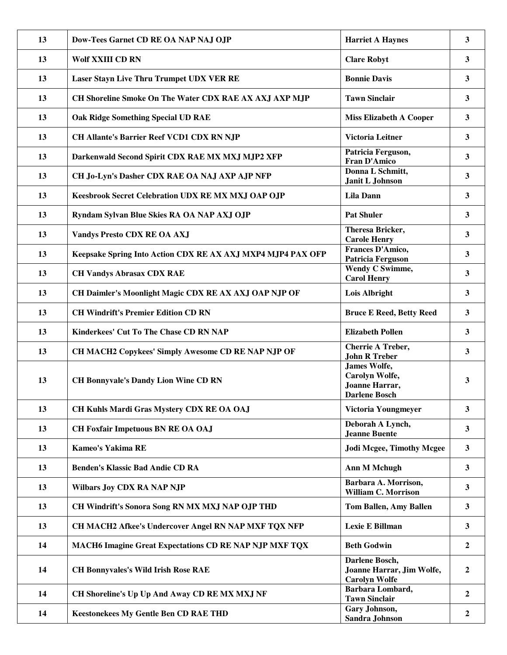| 13 | Dow-Tees Garnet CD RE OA NAP NAJ OJP                          | <b>Harriet A Haynes</b>                                                         | 3                |
|----|---------------------------------------------------------------|---------------------------------------------------------------------------------|------------------|
| 13 | <b>Wolf XXIII CD RN</b>                                       | <b>Clare Robyt</b>                                                              | $\mathbf{3}$     |
| 13 | Laser Stayn Live Thru Trumpet UDX VER RE                      | <b>Bonnie Davis</b>                                                             | $\mathbf{3}$     |
| 13 | CH Shoreline Smoke On The Water CDX RAE AX AXJ AXP MJP        | <b>Tawn Sinclair</b>                                                            | 3                |
| 13 | <b>Oak Ridge Something Special UD RAE</b>                     | <b>Miss Elizabeth A Cooper</b>                                                  | 3                |
| 13 | <b>CH Allante's Barrier Reef VCD1 CDX RN NJP</b>              | <b>Victoria Leitner</b>                                                         | 3                |
| 13 | Darkenwald Second Spirit CDX RAE MX MXJ MJP2 XFP              | Patricia Ferguson,<br><b>Fran D'Amico</b>                                       | 3                |
| 13 | CH Jo-Lyn's Dasher CDX RAE OA NAJ AXP AJP NFP                 | Donna L Schmitt,<br>Janit L Johnson                                             | 3                |
| 13 | Keesbrook Secret Celebration UDX RE MX MXJ OAP OJP            | <b>Lila Dann</b>                                                                | 3                |
| 13 | Ryndam Sylvan Blue Skies RA OA NAP AXJ OJP                    | <b>Pat Shuler</b>                                                               | 3                |
| 13 | <b>Vandys Presto CDX RE OA AXJ</b>                            | Theresa Bricker,<br><b>Carole Henry</b>                                         | 3                |
| 13 | Keepsake Spring Into Action CDX RE AX AXJ MXP4 MJP4 PAX OFP   | Frances D'Amico,<br><b>Patricia Ferguson</b>                                    | 3                |
| 13 | <b>CH Vandys Abrasax CDX RAE</b>                              | Wendy C Swimme,<br><b>Carol Henry</b>                                           | 3                |
| 13 | CH Daimler's Moonlight Magic CDX RE AX AXJ OAP NJP OF         | <b>Lois Albright</b>                                                            | 3                |
| 13 | <b>CH Windrift's Premier Edition CD RN</b>                    | <b>Bruce E Reed, Betty Reed</b>                                                 | 3                |
| 13 | Kinderkees' Cut To The Chase CD RN NAP                        | <b>Elizabeth Pollen</b>                                                         | 3                |
| 13 | CH MACH2 Copykees' Simply Awesome CD RE NAP NJP OF            | <b>Cherrie A Treber,</b><br><b>John R Treber</b>                                | 3                |
| 13 | <b>CH Bonnyvale's Dandy Lion Wine CD RN</b>                   | <b>James Wolfe,</b><br>Carolyn Wolfe,<br>Joanne Harrar,<br><b>Darlene Bosch</b> | 3                |
| 13 | CH Kuhls Mardi Gras Mystery CDX RE OA OAJ                     | Victoria Youngmeyer                                                             | 3                |
| 13 | <b>CH Foxfair Impetuous BN RE OA OAJ</b>                      | Deborah A Lynch,<br><b>Jeanne Buente</b>                                        | $\mathbf{3}$     |
| 13 | Kameo's Yakima RE                                             | <b>Jodi Mcgee, Timothy Mcgee</b>                                                | $\mathbf{3}$     |
| 13 | <b>Benden's Klassic Bad Andie CD RA</b>                       | <b>Ann M Mchugh</b>                                                             | $\mathbf{3}$     |
| 13 | <b>Wilbars Joy CDX RA NAP NJP</b>                             | Barbara A. Morrison,<br><b>William C. Morrison</b>                              | $\mathbf{3}$     |
| 13 | CH Windrift's Sonora Song RN MX MXJ NAP OJP THD               | Tom Ballen, Amy Ballen                                                          | $\mathbf{3}$     |
| 13 | CH MACH2 Afkee's Undercover Angel RN NAP MXF TQX NFP          | Lexie E Billman                                                                 | 3                |
| 14 | <b>MACH6 Imagine Great Expectations CD RE NAP NJP MXF TQX</b> | <b>Beth Godwin</b>                                                              | $\overline{2}$   |
| 14 | <b>CH Bonnyvales's Wild Irish Rose RAE</b>                    | Darlene Bosch,<br>Joanne Harrar, Jim Wolfe,<br><b>Carolyn Wolfe</b>             | $\boldsymbol{2}$ |
| 14 | CH Shoreline's Up Up And Away CD RE MX MXJ NF                 | Barbara Lombard,<br><b>Tawn Sinclair</b>                                        | $\mathbf{2}$     |
| 14 | <b>Keestonekees My Gentle Ben CD RAE THD</b>                  | Gary Johnson,<br>Sandra Johnson                                                 | $\overline{2}$   |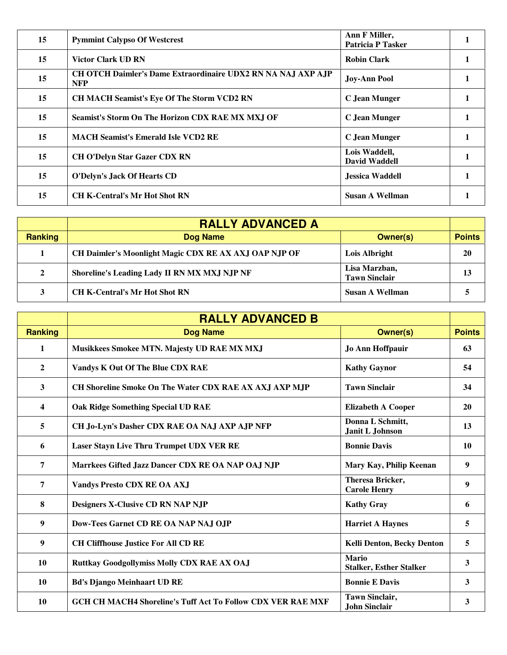| 15 | <b>Pymmint Calypso Of Westcrest</b>                                               | Ann F Miller,<br><b>Patricia P Tasker</b> |  |
|----|-----------------------------------------------------------------------------------|-------------------------------------------|--|
| 15 | <b>Victor Clark UD RN</b>                                                         | <b>Robin Clark</b>                        |  |
| 15 | <b>CH OTCH Daimler's Dame Extraordinaire UDX2 RN NA NAJ AXP AJP</b><br><b>NFP</b> | <b>Joy-Ann Pool</b>                       |  |
| 15 | <b>CH MACH Seamist's Eve Of The Storm VCD2 RN</b>                                 | C Jean Munger                             |  |
| 15 | Seamist's Storm On The Horizon CDX RAE MX MXJ OF                                  | C Jean Munger                             |  |
| 15 | <b>MACH Seamist's Emerald Isle VCD2 RE</b>                                        | C Jean Munger                             |  |
| 15 | <b>CH O'Delyn Star Gazer CDX RN</b>                                               | Lois Waddell,<br>David Waddell            |  |
| 15 | O'Delyn's Jack Of Hearts CD                                                       | Jessica Waddell                           |  |
| 15 | <b>CH K-Central's Mr Hot Shot RN</b>                                              | Susan A Wellman                           |  |

|                | <b>RALLY ADVANCED A</b>                               |                                       |               |
|----------------|-------------------------------------------------------|---------------------------------------|---------------|
| <b>Ranking</b> | Dog Name                                              | Owner(s)                              | <b>Points</b> |
|                | CH Daimler's Moonlight Magic CDX RE AX AXJ OAP NJP OF | Lois Albright                         | 20            |
| $\mathbf{2}$   | Shoreline's Leading Lady II RN MX MXJ NJP NF          | Lisa Marzban,<br><b>Tawn Sinclair</b> | 13            |
|                | <b>CH K-Central's Mr Hot Shot RN</b>                  | <b>Susan A Wellman</b>                |               |

|                | <b>RALLY ADVANCED B</b>                                            |                                                |               |
|----------------|--------------------------------------------------------------------|------------------------------------------------|---------------|
| <b>Ranking</b> | <b>Dog Name</b>                                                    | <b>Owner(s)</b>                                | <b>Points</b> |
| 1              | Musikkees Smokee MTN. Majesty UD RAE MX MXJ                        | Jo Ann Hoffpauir                               | 63            |
| $\mathbf{2}$   | Vandys K Out Of The Blue CDX RAE                                   | <b>Kathy Gaynor</b>                            | 54            |
| 3              | CH Shoreline Smoke On The Water CDX RAE AX AXJ AXP MJP             | <b>Tawn Sinclair</b>                           | 34            |
| 4              | Oak Ridge Something Special UD RAE                                 | <b>Elizabeth A Cooper</b>                      | 20            |
| 5              | CH Jo-Lyn's Dasher CDX RAE OA NAJ AXP AJP NFP                      | Donna L Schmitt,<br>Janit L Johnson            | 13            |
| 6              | <b>Laser Stayn Live Thru Trumpet UDX VER RE</b>                    | <b>Bonnie Davis</b>                            | <b>10</b>     |
| 7              | Marrkees Gifted Jazz Dancer CDX RE OA NAP OAJ NJP                  | Mary Kay, Philip Keenan                        | 9             |
| 7              | <b>Vandys Presto CDX RE OA AXJ</b>                                 | <b>Theresa Bricker,</b><br><b>Carole Henry</b> | 9             |
| 8              | Designers X-Clusive CD RN NAP NJP                                  | <b>Kathy Gray</b>                              | 6             |
| 9              | Dow-Tees Garnet CD RE OA NAP NAJ OJP                               | <b>Harriet A Haynes</b>                        | 5             |
| 9              | <b>CH Cliffhouse Justice For All CD RE</b>                         | <b>Kelli Denton, Becky Denton</b>              | 5             |
| 10             | Ruttkay Goodgollymiss Molly CDX RAE AX OAJ                         | <b>Mario</b><br><b>Stalker, Esther Stalker</b> | 3             |
| 10             | <b>Bd's Django Meinhaart UD RE</b>                                 | <b>Bonnie E Davis</b>                          | 3             |
| 10             | <b>GCH CH MACH4 Shoreline's Tuff Act To Follow CDX VER RAE MXF</b> | <b>Tawn Sinclair,</b><br><b>John Sinclair</b>  | 3             |